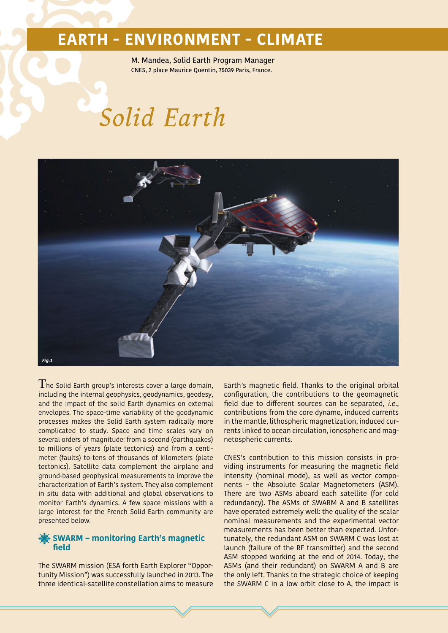M. Mandea, Solid Earth Program Manager CNES, 2 place Maurice Quentin, 75039 Paris, France.

# *Solid Earth*



 $\rm T$ he Solid Earth group's interests cover a large domain, including the internal geophysics, geodynamics, geodesy, and the impact of the solid Earth dynamics on external envelopes. The space-time variability of the geodynamic processes makes the Solid Earth system radically more complicated to study. Space and time scales vary on several orders of magnitude: from a second (earthquakes) to millions of years (plate tectonics) and from a centimeter (faults) to tens of thousands of kilometers (plate tectonics). Satellite data complement the airplane and ground-based geophysical measurements to improve the characterization of Earth's system. They also complement in situ data with additional and global observations to monitor Earth's dynamics. A few space missions with a large interest for the French Solid Earth community are presented below.

#### **SWARM – monitoring Earth's magnetic field**

The SWARM mission (ESA forth Earth Explorer "Opportunity Mission") was successfully launched in 2013. The three identical-satellite constellation aims to measure

Earth's magnetic field. Thanks to the original orbital configuration, the contributions to the geomagnetic field due to different sources can be separated, i.e., contributions from the core dynamo, induced currents in the mantle, lithospheric magnetization, induced currents linked to ocean circulation, ionospheric and magnetospheric currents.

CNES's contribution to this mission consists in providing instruments for measuring the magnetic field intensity (nominal mode), as well as vector components – the Absolute Scalar Magnetometers (ASM). There are two ASMs aboard each satellite (for cold redundancy). The ASMs of SWARM A and B satellites have operated extremely well: the quality of the scalar nominal measurements and the experimental vector measurements has been better than expected. Unfortunately, the redundant ASM on SWARM C was lost at launch (failure of the RF transmitter) and the second ASM stopped working at the end of 2014. Today, the ASMs (and their redundant) on SWARM A and B are the only left. Thanks to the strategic choice of keeping the SWARM C in a low orbit close to A, the impact is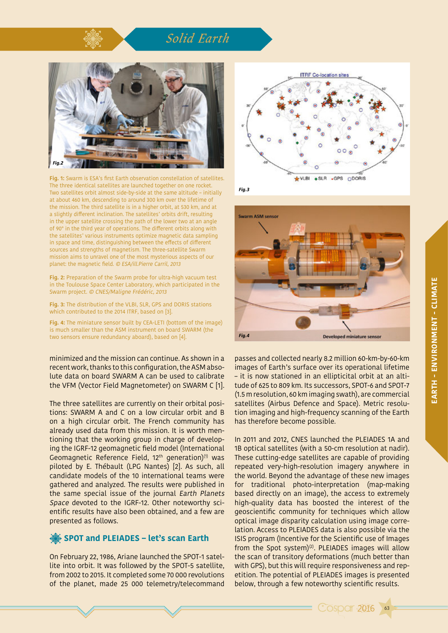## *Solid Earth*



**Fig. 1:** Swarm is ESA's first Earth observation constellation of satellites. The three identical satellites are launched together on one rocket. Two satellites orbit almost side-by-side at the same altitude – initially at about 460 km, descending to around 300 km over the lifetime of the mission. The third satellite is in a higher orbit, at 530 km, and at a slightly different inclination. The satellites' orbits drift, resulting in the upper satellite crossing the path of the lower two at an angle of 90° in the third year of operations. The different orbits along with the satellites' various instruments optimize magnetic data sampling in space and time, distinguishing between the effects of different sources and strengths of magnetism. The three-satellite Swarm mission aims to unravel one of the most mysterious aspects of our planet: the magnetic field. © ESA/ill.Pierre Carril, 2013

**Fig. 2:** Preparation of the Swarm probe for ultra-high vacuum test in the Toulouse Space Center Laboratory, which participated in the Swarm project. © CNES/Maligne Frédéric, 2013

**Fig. 3:** The distribution of the VLBI, SLR, GPS and DORIS stations which contributed to the 2014 ITRF, based on [3].

**Fig. 4:** The miniature sensor built by CEA-LETI (bottom of the image) is much smaller than the ASM instrument on board SWARM (the two sensors ensure redundancy aboard), based on [4].

minimized and the mission can continue. As shown in a recent work, thanks to this configuration, the ASM absolute data on board SWARM A can be used to calibrate the VFM (Vector Field Magnetometer) on SWARM C [1].

The three satellites are currently on their orbital positions: SWARM A and C on a low circular orbit and B on a high circular orbit. The French community has already used data from this mission. It is worth mentioning that the working group in charge of developing the IGRF-12 geomagnetic field model (International Geomagnetic Reference Field,  $12<sup>th</sup>$  generation)<sup>(1)</sup> was piloted by E. Thébault (LPG Nantes) [2]. As such, all candidate models of the 10 international teams were gathered and analyzed. The results were published in the same special issue of the journal Earth Planets Space devoted to the IGRF-12. Other noteworthy scientific results have also been obtained, and a few are presented as follows.

#### **SPOT and PLEIADES – let's scan Earth**

On February 22, 1986, Ariane launched the SPOT-1 satellite into orbit. It was followed by the SPOT-5 satellite, from 2002 to 2015. It completed some 70 000 revolutions of the planet, made 25 000 telemetry/telecommand







passes and collected nearly 8.2 million 60-km-by-60-km images of Earth's surface over its operational lifetime – it is now stationed in an ellipticital orbit at an altitude of 625 to 809 km. Its successors, SPOT-6 and SPOT-7 (1.5 m resolution, 60 km imaging swath), are commercial satellites (Airbus Defence and Space). Metric resolution imaging and high-frequency scanning of the Earth has therefore become possible.

In 2011 and 2012, CNES launched the PLEIADES 1A and 1B optical satellites (with a 50-cm resolution at nadir). These cutting-edge satellites are capable of providing repeated very-high-resolution imagery anywhere in the world. Beyond the advantage of these new images for traditional photo-interpretation (map-making based directly on an image), the access to extremely high-quality data has boosted the interest of the geoscientific community for techniques which allow optical image disparity calculation using image correlation. Access to PLEIADES data is also possible via the ISIS program (Incentive for the Scientific use of Images from the Spot system) $(2)$ . PLEIADES images will allow the scan of transitory deformations (much better than with GPS), but this will require responsiveness and repetition. The potential of PLEIADES images is presented below, through a few noteworthy scientific results.

63

**Cosper 2016**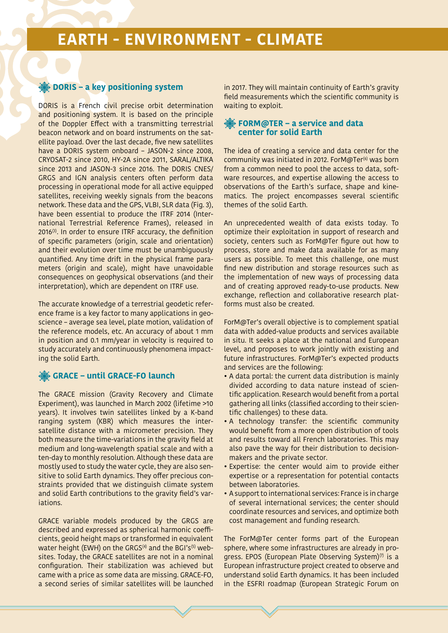#### **DORIS – a key positioning system**

DORIS is a French civil precise orbit determination and positioning system. It is based on the principle of the Doppler Effect with a transmitting terrestrial beacon network and on board instruments on the satellite payload. Over the last decade, five new satellites have a DORIS system onboard – JASON-2 since 2008, CRYOSAT-2 since 2010, HY-2A since 2011, SARAL/ALTIKA since 2013 and JASON-3 since 2016. The DORIS CNES/ GRGS and IGN analysis centers often perform data processing in operational mode for all active equipped satellites, receiving weekly signals from the beacons network. These data and the GPS, VLBI, SLR data (Fig. 3), have been essential to produce the ITRF 2014 (International Terrestrial Reference Frames), released in  $2016^{(3)}$ . In order to ensure ITRF accuracy, the definition of specific parameters (origin, scale and orientation) and their evolution over time must be unambiguously quantified. Any time drift in the physical frame parameters (origin and scale), might have unavoidable consequences on geophysical observations (and their interpretation), which are dependent on ITRF use.

The accurate knowledge of a terrestrial geodetic reference frame is a key factor to many applications in geoscience – average sea level, plate motion, validation of the reference models, etc. An accuracy of about 1 mm in position and 0.1 mm/year in velocity is required to study accurately and continuously phenomena impacting the solid Earth.

#### **GRACE – until GRACE-FO launch**

The GRACE mission (Gravity Recovery and Climate Experiment), was launched in March 2002 (lifetime >10 years). It involves twin satellites linked by a K-band ranging system (KBR) which measures the intersatellite distance with a micrometer precision. They both measure the time-variations in the gravity field at medium and long-wavelength spatial scale and with a ten-day to monthly resolution. Although these data are mostly used to study the water cycle, they are also sensitive to solid Earth dynamics. They offer precious constraints provided that we distinguish climate system and solid Earth contributions to the gravity field's variations.

GRACE variable models produced by the GRGS are described and expressed as spherical harmonic coefficients, geoid height maps or transformed in equivalent water height (EWH) on the GRGS<sup>(4)</sup> and the BGI's<sup>(5)</sup> websites. Today, the GRACE satellites are not in a nominal configuration. Their stabilization was achieved but came with a price as some data are missing. GRACE-FO, a second series of similar satellites will be launched

in 2017. They will maintain continuity of Earth's gravity field measurements which the scientific community is waiting to exploit.

#### **FORM@TER – a service and data center for solid Earth**

The idea of creating a service and data center for the community was initiated in 2012. ForM@Ter<sup>(6)</sup> was born from a common need to pool the access to data, software resources, and expertise allowing the access to observations of the Earth's surface, shape and kinematics. The project encompasses several scientific themes of the solid Earth.

An unprecedented wealth of data exists today. To optimize their exploitation in support of research and society, centers such as ForM@Ter figure out how to process, store and make data available for as many users as possible. To meet this challenge, one must find new distribution and storage resources such as the implementation of new ways of processing data and of creating approved ready-to-use products. New exchange, reflection and collaborative research platforms must also be created.

ForM@Ter's overall objective is to complement spatial data with added-value products and services available in situ. It seeks a place at the national and European level, and proposes to work jointly with existing and future infrastructures. ForM@Ter's expected products and services are the following:

- A data portal: the current data distribution is mainly divided according to data nature instead of scientific application. Research would benefit from a portal gathering all links (classified according to their scientific challenges) to these data.
- A technology transfer: the scientific community would benefit from a more open distribution of tools and results toward all French laboratories. This may also pave the way for their distribution to decisionmakers and the private sector.
- Expertise: the center would aim to provide either expertise or a representation for potential contacts between laboratories.
- A support to international services: France is in charge of several international services; the center should coordinate resources and services, and optimize both cost management and funding research.

The ForM@Ter center forms part of the European sphere, where some infrastructures are already in progress. EPOS (European Plate Observing System) $(7)$  is a European infrastructure project created to observe and understand solid Earth dynamics. It has been included in the ESFRI roadmap (European Strategic Forum on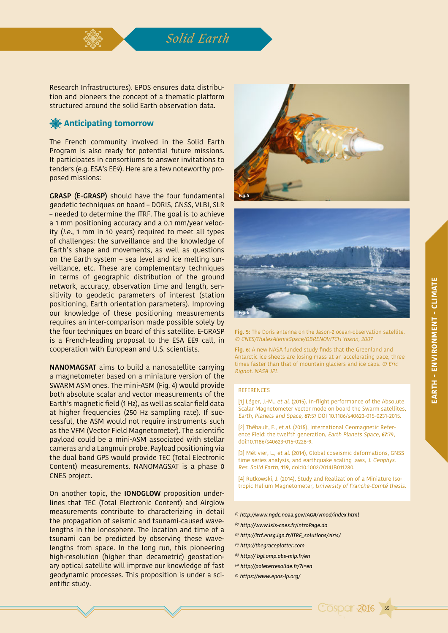## *Solid Earth*

Research Infrastructures). EPOS ensures data distribution and pioneers the concept of a thematic platform structured around the solid Earth observation data.

#### **Anticipating tomorrow**

The French community involved in the Solid Earth Program is also ready for potential future missions. It participates in consortiums to answer invitations to tenders (e.g. ESA's EE9). Here are a few noteworthy proposed missions:

**GRASP (E-GRASP)** should have the four fundamental geodetic techniques on board – DORIS, GNSS, VLBI, SLR – needed to determine the ITRF. The goal is to achieve a 1 mm positioning accuracy and a 0.1 mm/year velocity (i.e., 1 mm in 10 years) required to meet all types of challenges: the surveillance and the knowledge of Earth's shape and movements, as well as questions on the Earth system – sea level and ice melting surveillance, etc. These are complementary techniques in terms of geographic distribution of the ground network, accuracy, observation time and length, sensitivity to geodetic parameters of interest (station positioning, Earth orientation parameters). Improving our knowledge of these positioning measurements requires an inter-comparison made possible solely by the four techniques on board of this satellite. E-GRASP is a French-leading proposal to the ESA EE9 call, in cooperation with European and U.S. scientists.

**NANOMAGSAT** aims to build a nanosatellite carrying a magnetometer based on a miniature version of the SWARM ASM ones. The mini-ASM (Fig. 4) would provide both absolute scalar and vector measurements of the Earth's magnetic field (1 Hz), as well as scalar field data at higher frequencies (250 Hz sampling rate). If successful, the ASM would not require instruments such as the VFM (Vector Field Magnetometer). The scientific payload could be a mini-ASM associated with stellar cameras and a Langmuir probe. Payload positioning via the dual band GPS would provide TEC (Total Electronic Content) measurements. NANOMAGSAT is a phase 0 CNES project.

On another topic, the **IONOGLOW** proposition underlines that TEC (Total Electronic Content) and Airglow measurements contribute to characterizing in detail the propagation of seismic and tsunami-caused wavelengths in the ionosphere. The location and time of a tsunami can be predicted by observing these wavelengths from space. In the long run, this pioneering high-resolution (higher than decametric) geostationary optical satellite will improve our knowledge of fast geodynamic processes. This proposition is under a scientific study.





**Fig. 5:** The Doris antenna on the Jason-2 ocean-observation satellite. © CNES/ThalesAleniaSpace/OBRENOVITCH Yoann, 2007

**Fig. 6:** A new NASA funded study finds that the Greenland and Antarctic ice sheets are losing mass at an accelerating pace, three times faster than that of mountain glaciers and ice caps. © Eric Rignot. NASA JPL

#### REFERENCES

[1] Léger, J.-M., et al. (2015), In-flight performance of the Absolute Scalar Magnetometer vector mode on board the Swarm satellites, Earth, Planets and Space, **67**:57 DOI 10.1186/s40623-015-0231-2015.

[2] Thébault, E., et al. (2015), International Geomagnetic Reference Field: the twelfth generation, Earth Planets Space, **67**:79, doi:10.1186/s40623-015-0228-9.

[3] Métivier, L., et al. (2014), Global coseismic deformations, GNSS time series analysis, and earthquake scaling laws, J. Geophys. Res. Solid Earth, **119**, doi:10.1002/2014JB011280.

[4] Rutkowski, J. (2014), Study and Realization of a Miniature Isotropic Helium Magnetometer, University of Franche-Comté thesis.

- (1) http://www.ngdc.noaa.gov/IAGA/vmod/index.html
- (2) http://www.isis-cnes.fr/IntroPage.do
- (3) http://itrf.ensg.ign.fr/ITRF\_solutions/2014/
- (4) http://thegraceplotter.com
- (5) http:// bgi.omp.obs-mip.fr/en
- (6) http://poleterresolide.fr/?l=en
- (7) https://www.epos-ip.org/

65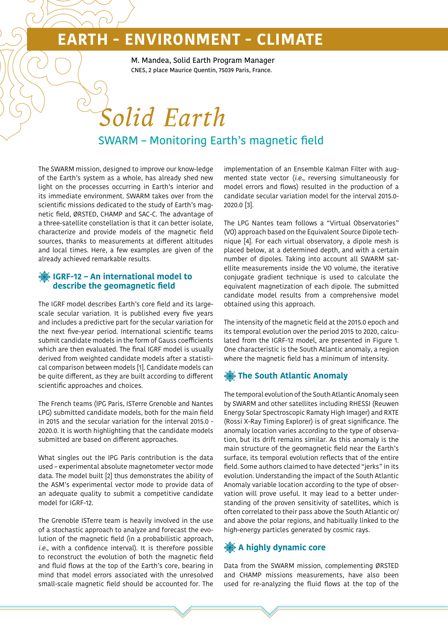M. Mandea, Solid Earth Program Manager CNES, 2 place Maurice Quentin, 75039 Paris, France.

## SWARM – Monitoring Earth's magnetic field *Solid Earth*

The SWARM mission, designed to improve our know-ledge of the Earth's system as a whole, has already shed new light on the processes occurring in Earth's interior and its immediate environment. SWARM takes over from the scientific missions dedicated to the study of Earth's magnetic field, ØRSTED, CHAMP and SAC-C. The advantage of a three-satellite constellation is that it can better isolate, characterize and provide models of the magnetic field sources, thanks to measurements at different altitudes and local times. Here, a few examples are given of the already achieved remarkable results.

#### **IGRF-12 – An international model to describe the geomagnetic field**

The IGRF model describes Earth's core field and its largescale secular variation. It is published every five years and includes a predictive part for the secular variation for the next five-year period. International scientific teams submit candidate models in the form of Gauss coefficients which are then evaluated. The final IGRF model is usually derived from weighted candidate models after a statistical comparison between models [1]. Candidate models can be quite different, as they are built according to different scientific approaches and choices.

The French teams (IPG Paris, ISTerre Grenoble and Nantes LPG) submitted candidate models, both for the main field in 2015 and the secular variation for the interval 2015.0 - 2020.0. It is worth highlighting that the candidate models submitted are based on different approaches.

What singles out the IPG Paris contribution is the data used – experimental absolute magnetometer vector mode data. The model built [2] thus demonstrates the ability of the ASM's experimental vector mode to provide data of an adequate quality to submit a competitive candidate model for IGRF-12.

The Grenoble ISTerre team is heavily involved in the use of a stochastic approach to analyze and forecast the evolution of the magnetic field (in a probabilistic approach, i.e., with a confidence interval). It is therefore possible to reconstruct the evolution of both the magnetic field and fluid flows at the top of the Earth's core, bearing in mind that model errors associated with the unresolved small-scale magnetic field should be accounted for. The

implementation of an Ensemble Kalman Filter with augmented state vector (i.e., reversing simultaneously for model errors and flows) resulted in the production of a candidate secular variation model for the interval 2015.0- 2020.0 [3].

The LPG Nantes team follows a "Virtual Observatories" (VO) approach based on the Equivalent Source Dipole technique [4]. For each virtual observatory, a dipole mesh is placed below, at a determined depth, and with a certain number of dipoles. Taking into account all SWARM satellite measurements inside the VO volume, the iterative conjugate gradient technique is used to calculate the equivalent magnetization of each dipole. The submitted candidate model results from a comprehensive model obtained using this approach.

The intensity of the magnetic field at the 2015.0 epoch and its temporal evolution over the period 2015 to 2020, calculated from the IGRF-12 model, are presented in Figure 1. One characteristic is the South Atlantic anomaly, a region where the magnetic field has a minimum of intensity.

#### **The South Atlantic Anomaly**

The temporal evolution of the South Atlantic Anomaly seen by SWARM and other satellites including RHESSI (Reuwen Energy Solar Spectroscopic Ramaty High Imager) and RXTE (Rossi X-Ray Timing Explorer) is of great significance. The anomaly location varies according to the type of observation, but its drift remains similar. As this anomaly is the main structure of the geomagnetic field near the Earth's surface, its temporal evolution reflects that of the entire field. Some authors claimed to have detected "jerks" in its evolution. Understanding the impact of the South Atlantic Anomaly variable location according to the type of observation will prove useful. It may lead to a better understanding of the proven sensitivity of satellites, which is often correlated to their pass above the South Atlantic or/ and above the polar regions, and habitually linked to the high-energy particles generated by cosmic rays.

#### **A highly dynamic core**

Data from the SWARM mission, complementing ØRSTED and CHAMP missions measurements, have also been used for re-analyzing the fluid flows at the top of the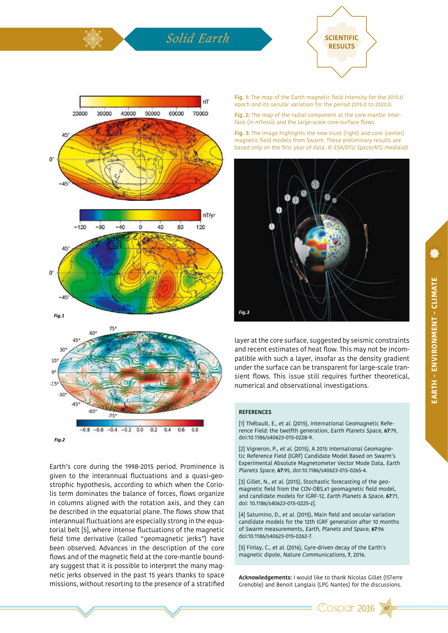## *Solid Earth* **SCIENTIFIC**





Earth's core during the 1998-2015 period. Prominence is given to the interannual fluctuations and a quasi-geostrophic hypothesis, according to which when the Coriolis term dominates the balance of forces, flows organize in columns aligned with the rotation axis, and they can be described in the equatorial plane. The flows show that interannual fluctuations are especially strong in the equatorial belt [5], where intense fluctuations of the magnetic field time derivative (called "geomagnetic jerks") have been observed. Advances in the description of the core flows and of the magnetic field at the core-mantle boundary suggest that it is possible to interpret the many magnetic jerks observed in the past 15 years thanks to space missions, without resorting to the presence of a stratified

**Fig. 1:** The map of the Earth magnetic field intensity for the 2010.0 epoch and its secular variation for the period 2015.0 to 2020.0.

**Fig. 2:** The map of the radial component at the core-mantle interface (in mTesla) and the large-scale core-surface flows.

**Fig. 3:** The image highlights the new crust (right) and core (center) magnetic field models from Swarm. These preliminary results are based only on the first year of data. © ESA/DTU Space/ATG medialab



layer at the core surface, suggested by seismic constraints and recent estimates of heat flow. This may not be incompatible with such a layer, insofar as the density gradient under the surface can be transparent for large-scale transient flows. This issue still requires further theoretical, numerical and observational investigations.

#### **REFERENCES**

[1] Thébault, E., et al. (2015), International Geomagnetic Reference Field: the twelfth generation, Earth Planets Space, **67**:79, doi:10.1186/s40623-015-0228-9.

[2] Vigneron, P., et al. (2015), A 2015 International Geomagnetic Reference Field (IGRF) Candidate Model Based on Swarm's Experimental Absolute Magnetometer Vector Mode Data, Earth Planets Space, **67**:95, doi:10.1186/s40623-015-0265-4.

[3] Gillet, N., et al. (2015), Stochastic forecasting of the geomagnetic field from the COV-OBS.x1 geomagnetic field model, and candidate models for IGRF-12, Earth Planets & Space, **67**:71, doi: 10.1186/s40623-015-0225-z].

[4] Saturnino, D., et al. (2015), Main field and secular variation candidate models for the 12th IGRF generation after 10 months of Swarm measurements, Earth, Planets and Space, **67**:96 doi:10.1186/s40623-015-0262-7.

[5] Finlay, C., et al. (2016), Gyre-driven decay of the Earth's magnetic dipole, Nature Communications, **7**, 2016.

**Acknowledgements:** I would like to thank Nicolas Gillet (ISTerre Grenoble) and Benoit Langlais (LPG Nantes) for the discussions.



67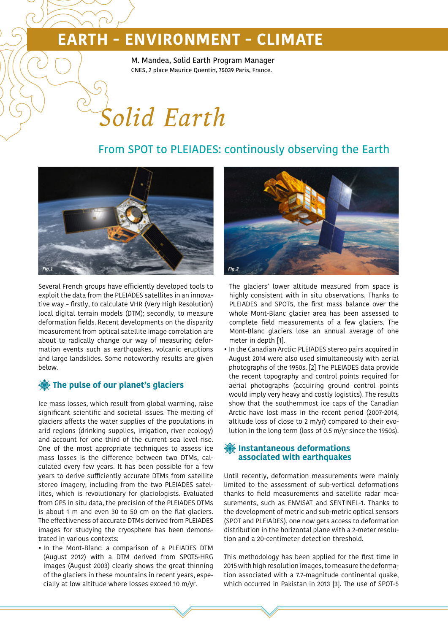M. Mandea, Solid Earth Program Manager CNES, 2 place Maurice Quentin, 75039 Paris, France.

# *Solid Earth*

### From SPOT to PLEIADES: continously observing the Earth



Several French groups have efficiently developed tools to exploit the data from the PLEIADES satellites in an innovative way – firstly, to calculate VHR (Very High Resolution) local digital terrain models (DTM); secondly, to measure deformation fields. Recent developments on the disparity measurement from optical satellite image correlation are about to radically change our way of measuring deformation events such as earthquakes, volcanic eruptions and large landslides. Some noteworthy results are given below.

#### **The pulse of our planet's glaciers**

Ice mass losses, which result from global warming, raise significant scientific and societal issues. The melting of glaciers affects the water supplies of the populations in arid regions (drinking supplies, irrigation, river ecology) and account for one third of the current sea level rise. One of the most appropriate techniques to assess ice mass losses is the difference between two DTMs, calculated every few years. It has been possible for a few years to derive sufficiently accurate DTMs from satellite stereo imagery, including from the two PLEIADES satellites, which is revolutionary for glaciologists. Evaluated from GPS in situ data, the precision of the PLEIADES DTMs is about 1 m and even 30 to 50 cm on the flat glaciers. The effectiveness of accurate DTMs derived from PLEIADES images for studying the cryosphere has been demonstrated in various contexts:

• In the Mont-Blanc: a comparison of a PLEIADES DTM (August 2012) with a DTM derived from SPOT5-HRG images (August 2003) clearly shows the great thinning of the glaciers in these mountains in recent years, especially at low altitude where losses exceed 10 m/yr.



The glaciers' lower altitude measured from space is highly consistent with in situ observations. Thanks to PLEIADES and SPOT5, the first mass balance over the whole Mont-Blanc glacier area has been assessed to complete field measurements of a few glaciers. The Mont-Blanc glaciers lose an annual average of one meter in depth [1].

• In the Canadian Arctic: PLEIADES stereo pairs acquired in August 2014 were also used simultaneously with aerial photographs of the 1950s. [2] The PLEIADES data provide the recent topography and control points required for aerial photographs (acquiring ground control points would imply very heavy and costly logistics). The results show that the southernmost ice caps of the Canadian Arctic have lost mass in the recent period (2007-2014, altitude loss of close to 2 m/yr) compared to their evolution in the long term (loss of 0.5 m/yr since the 1950s).

#### **Instantaneous deformations associated with earthquakes**

Until recently, deformation measurements were mainly limited to the assessment of sub-vertical deformations thanks to field measurements and satellite radar measurements, such as ENVISAT and SENTINEL-1. Thanks to the development of metric and sub-metric optical sensors (SPOT and PLEIADES), one now gets access to deformation distribution in the horizontal plane with a 2-meter resolution and a 20-centimeter detection threshold.

This methodology has been applied for the first time in 2015 with high resolution images, to measure the deformation associated with a 7.7-magnitude continental quake, which occurred in Pakistan in 2013 [3]. The use of SPOT-5